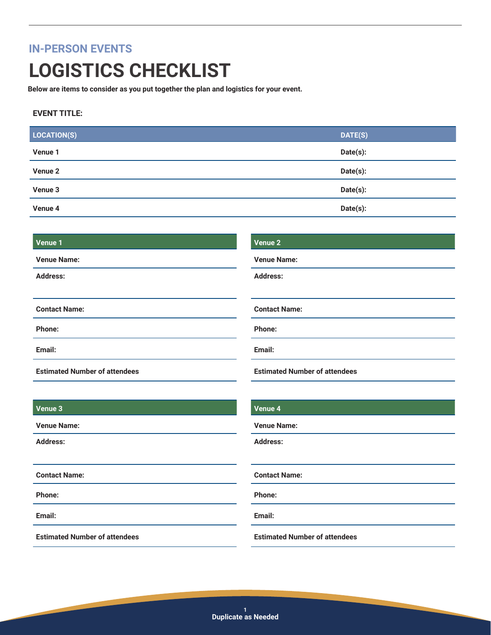### **IN-PERSON EVENTS**

# **LOGISTICS CHECKLIST**

**Below are items to consider as you put together the plan and logistics for your event.**

#### **EVENT TITLE:**

| LOCATION(S) | DATE(S)  |
|-------------|----------|
| Venue 1     | Date(s): |
| Venue 2     | Date(s): |
| Venue 3     | Date(s): |
| Venue 4     | Date(s): |

#### **Venue 1**

| <b>Venue Name:</b>                   | <b>Venue Name:</b>                   |  |
|--------------------------------------|--------------------------------------|--|
| <b>Address:</b>                      | <b>Address:</b>                      |  |
|                                      |                                      |  |
| <b>Contact Name:</b>                 | <b>Contact Name:</b>                 |  |
| <b>Phone:</b>                        | Phone:                               |  |
| Email:                               | Email:                               |  |
| <b>Estimated Number of attendees</b> | <b>Estimated Number of attendees</b> |  |

#### **Venue 3**

**Venue Name:**

**Address:**

**Contact Name:**

**Phone:**

**Email:**

**Estimated Number of attendees**

#### **Venue 4**

**Venue 2**

**Venue Name:**

**Address:**

**Contact Name:**

**Phone:**

**Email:**

**Estimated Number of attendees**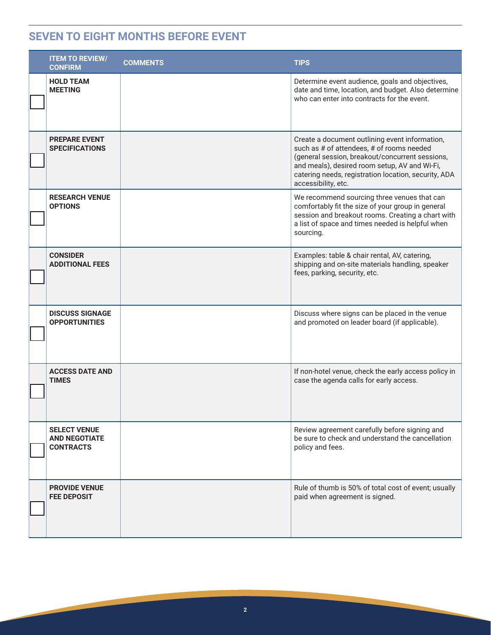### **SEVEN TO EIGHT MONTHS BEFORE EVENT**

| <b>ITEM TO REVIEW/</b><br><b>CONFIRM</b>                        | <b>COMMENTS</b> | <b>TIPS</b>                                                                                                                                                                                                                                                                    |
|-----------------------------------------------------------------|-----------------|--------------------------------------------------------------------------------------------------------------------------------------------------------------------------------------------------------------------------------------------------------------------------------|
| <b>HOLD TEAM</b><br><b>MEETING</b>                              |                 | Determine event audience, goals and objectives,<br>date and time, location, and budget. Also determine<br>who can enter into contracts for the event.                                                                                                                          |
| <b>PREPARE EVENT</b><br><b>SPECIFICATIONS</b>                   |                 | Create a document outlining event information,<br>such as # of attendees, # of rooms needed<br>(general session, breakout/concurrent sessions,<br>and meals), desired room setup, AV and Wi-Fi,<br>catering needs, registration location, security, ADA<br>accessibility, etc. |
| <b>RESEARCH VENUE</b><br><b>OPTIONS</b>                         |                 | We recommend sourcing three venues that can<br>comfortably fit the size of your group in general<br>session and breakout rooms. Creating a chart with<br>a list of space and times needed is helpful when<br>sourcing.                                                         |
| <b>CONSIDER</b><br><b>ADDITIONAL FEES</b>                       |                 | Examples: table & chair rental, AV, catering,<br>shipping and on-site materials handling, speaker<br>fees, parking, security, etc.                                                                                                                                             |
| <b>DISCUSS SIGNAGE</b><br><b>OPPORTUNITIES</b>                  |                 | Discuss where signs can be placed in the venue<br>and promoted on leader board (if applicable).                                                                                                                                                                                |
| <b>ACCESS DATE AND</b><br><b>TIMES</b>                          |                 | If non-hotel venue, check the early access policy in<br>case the agenda calls for early access.                                                                                                                                                                                |
| <b>SELECT VENUE</b><br><b>AND NEGOTIATE</b><br><b>CONTRACTS</b> |                 | Review agreement carefully before signing and<br>be sure to check and understand the cancellation<br>policy and fees.                                                                                                                                                          |
| <b>PROVIDE VENUE</b><br><b>FEE DEPOSIT</b>                      |                 | Rule of thumb is 50% of total cost of event; usually<br>paid when agreement is signed.                                                                                                                                                                                         |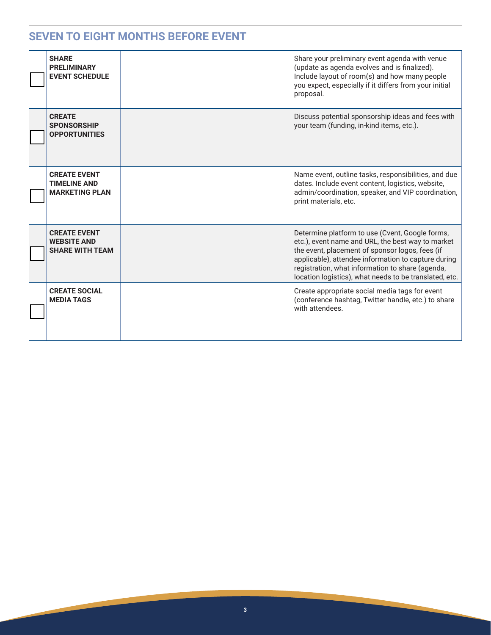### **SEVEN TO EIGHT MONTHS BEFORE EVENT**

| <b>SHARE</b><br><b>PRELIMINARY</b><br><b>EVENT SCHEDULE</b>         | Share your preliminary event agenda with venue<br>(update as agenda evolves and is finalized).<br>Include layout of room(s) and how many people<br>you expect, especially if it differs from your initial<br>proposal.                                                                                                       |
|---------------------------------------------------------------------|------------------------------------------------------------------------------------------------------------------------------------------------------------------------------------------------------------------------------------------------------------------------------------------------------------------------------|
| <b>CREATE</b><br><b>SPONSORSHIP</b><br><b>OPPORTUNITIES</b>         | Discuss potential sponsorship ideas and fees with<br>your team (funding, in-kind items, etc.).                                                                                                                                                                                                                               |
| <b>CREATE EVENT</b><br><b>TIMELINE AND</b><br><b>MARKETING PLAN</b> | Name event, outline tasks, responsibilities, and due<br>dates. Include event content, logistics, website,<br>admin/coordination, speaker, and VIP coordination,<br>print materials, etc.                                                                                                                                     |
| <b>CREATE EVENT</b><br><b>WEBSITE AND</b><br><b>SHARE WITH TEAM</b> | Determine platform to use (Cvent, Google forms,<br>etc.), event name and URL, the best way to market<br>the event, placement of sponsor logos, fees (if<br>applicable), attendee information to capture during<br>registration, what information to share (agenda,<br>location logistics), what needs to be translated, etc. |
| <b>CREATE SOCIAL</b><br><b>MEDIA TAGS</b>                           | Create appropriate social media tags for event<br>(conference hashtag, Twitter handle, etc.) to share<br>with attendees.                                                                                                                                                                                                     |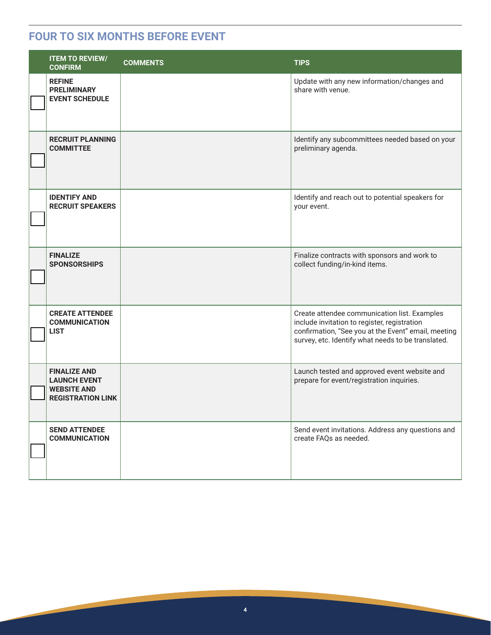#### **FOUR TO SIX MONTHS BEFORE EVENT**

| <b>ITEM TO REVIEW/</b><br><b>CONFIRM</b>                                                     | <b>COMMENTS</b> | <b>TIPS</b>                                                                                                                                                                                               |
|----------------------------------------------------------------------------------------------|-----------------|-----------------------------------------------------------------------------------------------------------------------------------------------------------------------------------------------------------|
| <b>REFINE</b><br><b>PRELIMINARY</b><br><b>EVENT SCHEDULE</b>                                 |                 | Update with any new information/changes and<br>share with venue.                                                                                                                                          |
| <b>RECRUIT PLANNING</b><br><b>COMMITTEE</b>                                                  |                 | Identify any subcommittees needed based on your<br>preliminary agenda.                                                                                                                                    |
| <b>IDENTIFY AND</b><br><b>RECRUIT SPEAKERS</b>                                               |                 | Identify and reach out to potential speakers for<br>your event.                                                                                                                                           |
| <b>FINALIZE</b><br><b>SPONSORSHIPS</b>                                                       |                 | Finalize contracts with sponsors and work to<br>collect funding/in-kind items.                                                                                                                            |
| <b>CREATE ATTENDEE</b><br><b>COMMUNICATION</b><br>LIST                                       |                 | Create attendee communication list. Examples<br>include invitation to register, registration<br>confirmation, "See you at the Event" email, meeting<br>survey, etc. Identify what needs to be translated. |
| <b>FINALIZE AND</b><br><b>LAUNCH EVENT</b><br><b>WEBSITE AND</b><br><b>REGISTRATION LINK</b> |                 | Launch tested and approved event website and<br>prepare for event/registration inquiries.                                                                                                                 |
| <b>SEND ATTENDEE</b><br><b>COMMUNICATION</b>                                                 |                 | Send event invitations. Address any questions and<br>create FAQs as needed.                                                                                                                               |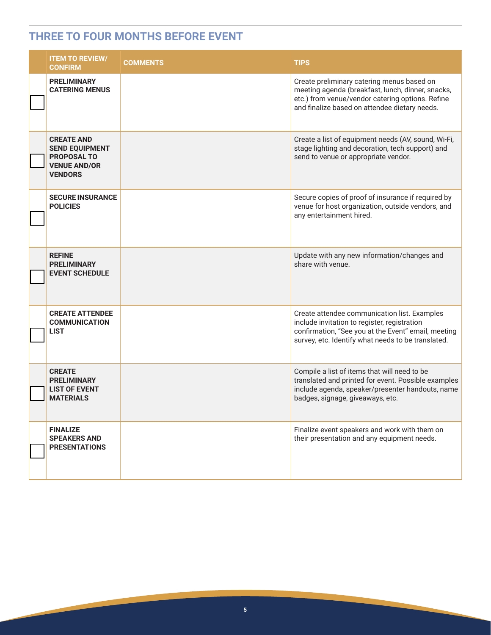### **THREE TO FOUR MONTHS BEFORE EVENT**

| <b>ITEM TO REVIEW/</b><br><b>CONFIRM</b>                                                                  | <b>COMMENTS</b> | <b>TIPS</b>                                                                                                                                                                                               |
|-----------------------------------------------------------------------------------------------------------|-----------------|-----------------------------------------------------------------------------------------------------------------------------------------------------------------------------------------------------------|
| <b>PRELIMINARY</b><br><b>CATERING MENUS</b>                                                               |                 | Create preliminary catering menus based on<br>meeting agenda (breakfast, lunch, dinner, snacks,<br>etc.) from venue/vendor catering options. Refine<br>and finalize based on attendee dietary needs.      |
| <b>CREATE AND</b><br><b>SEND EQUIPMENT</b><br><b>PROPOSAL TO</b><br><b>VENUE AND/OR</b><br><b>VENDORS</b> |                 | Create a list of equipment needs (AV, sound, Wi-Fi,<br>stage lighting and decoration, tech support) and<br>send to venue or appropriate vendor.                                                           |
| <b>SECURE INSURANCE</b><br><b>POLICIES</b>                                                                |                 | Secure copies of proof of insurance if required by<br>venue for host organization, outside vendors, and<br>any entertainment hired.                                                                       |
| <b>REFINE</b><br><b>PRELIMINARY</b><br><b>EVENT SCHEDULE</b>                                              |                 | Update with any new information/changes and<br>share with venue.                                                                                                                                          |
| <b>CREATE ATTENDEE</b><br><b>COMMUNICATION</b><br><b>LIST</b>                                             |                 | Create attendee communication list. Examples<br>include invitation to register, registration<br>confirmation, "See you at the Event" email, meeting<br>survey, etc. Identify what needs to be translated. |
| <b>CREATE</b><br><b>PRELIMINARY</b><br><b>LIST OF EVENT</b><br><b>MATERIALS</b>                           |                 | Compile a list of items that will need to be<br>translated and printed for event. Possible examples<br>include agenda, speaker/presenter handouts, name<br>badges, signage, giveaways, etc.               |
| <b>FINALIZE</b><br><b>SPEAKERS AND</b><br><b>PRESENTATIONS</b>                                            |                 | Finalize event speakers and work with them on<br>their presentation and any equipment needs.                                                                                                              |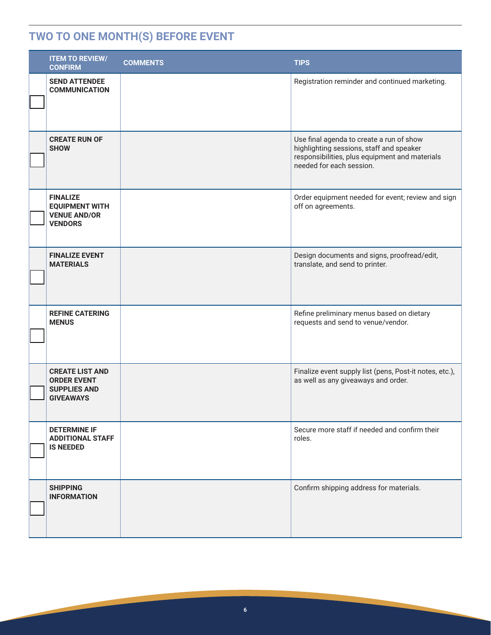# **TWO TO ONE MONTH(S) BEFORE EVENT**

| <b>ITEM TO REVIEW/</b><br><b>CONFIRM</b>                                                | <b>COMMENTS</b> | <b>TIPS</b>                                                                                                                                                        |
|-----------------------------------------------------------------------------------------|-----------------|--------------------------------------------------------------------------------------------------------------------------------------------------------------------|
| <b>SEND ATTENDEE</b><br><b>COMMUNICATION</b>                                            |                 | Registration reminder and continued marketing.                                                                                                                     |
| <b>CREATE RUN OF</b><br><b>SHOW</b>                                                     |                 | Use final agenda to create a run of show<br>highlighting sessions, staff and speaker<br>responsibilities, plus equipment and materials<br>needed for each session. |
| <b>FINALIZE</b><br><b>EQUIPMENT WITH</b><br><b>VENUE AND/OR</b><br><b>VENDORS</b>       |                 | Order equipment needed for event; review and sign<br>off on agreements.                                                                                            |
| <b>FINALIZE EVENT</b><br><b>MATERIALS</b>                                               |                 | Design documents and signs, proofread/edit,<br>translate, and send to printer.                                                                                     |
| <b>REFINE CATERING</b><br><b>MENUS</b>                                                  |                 | Refine preliminary menus based on dietary<br>requests and send to venue/vendor.                                                                                    |
| <b>CREATE LIST AND</b><br><b>ORDER EVENT</b><br><b>SUPPLIES AND</b><br><b>GIVEAWAYS</b> |                 | Finalize event supply list (pens, Post-it notes, etc.),<br>as well as any giveaways and order.                                                                     |
| <b>DETERMINE IF</b><br><b>ADDITIONAL STAFF</b><br><b>IS NEEDED</b>                      |                 | Secure more staff if needed and confirm their<br>roles.                                                                                                            |
| <b>SHIPPING</b><br><b>INFORMATION</b>                                                   |                 | Confirm shipping address for materials.                                                                                                                            |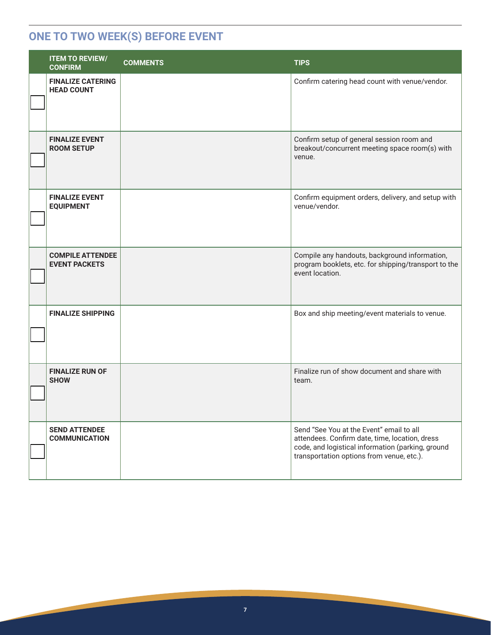## **ONE TO TWO WEEK(S) BEFORE EVENT**

| <b>ITEM TO REVIEW/</b><br><b>CONFIRM</b>        | <b>COMMENTS</b> | <b>TIPS</b>                                                                                                                                                                                  |
|-------------------------------------------------|-----------------|----------------------------------------------------------------------------------------------------------------------------------------------------------------------------------------------|
| <b>FINALIZE CATERING</b><br><b>HEAD COUNT</b>   |                 | Confirm catering head count with venue/vendor.                                                                                                                                               |
| <b>FINALIZE EVENT</b><br><b>ROOM SETUP</b>      |                 | Confirm setup of general session room and<br>breakout/concurrent meeting space room(s) with<br>venue.                                                                                        |
| <b>FINALIZE EVENT</b><br><b>EQUIPMENT</b>       |                 | Confirm equipment orders, delivery, and setup with<br>venue/vendor.                                                                                                                          |
| <b>COMPILE ATTENDEE</b><br><b>EVENT PACKETS</b> |                 | Compile any handouts, background information,<br>program booklets, etc. for shipping/transport to the<br>event location.                                                                     |
| <b>FINALIZE SHIPPING</b>                        |                 | Box and ship meeting/event materials to venue.                                                                                                                                               |
| <b>FINALIZE RUN OF</b><br><b>SHOW</b>           |                 | Finalize run of show document and share with<br>team.                                                                                                                                        |
| <b>SEND ATTENDEE</b><br><b>COMMUNICATION</b>    |                 | Send "See You at the Event" email to all<br>attendees. Confirm date, time, location, dress<br>code, and logistical information (parking, ground<br>transportation options from venue, etc.). |